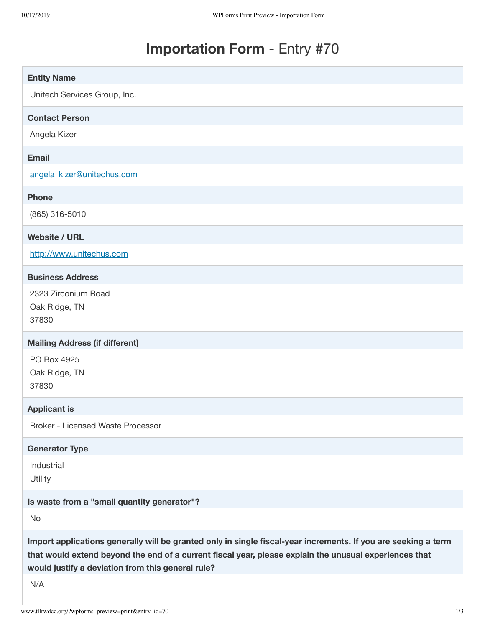## **Importation Form** - Entry #70

| <b>Entity Name</b>                                                                                                                                                                                                                                                            |
|-------------------------------------------------------------------------------------------------------------------------------------------------------------------------------------------------------------------------------------------------------------------------------|
| Unitech Services Group, Inc.                                                                                                                                                                                                                                                  |
| <b>Contact Person</b>                                                                                                                                                                                                                                                         |
| Angela Kizer                                                                                                                                                                                                                                                                  |
| <b>Email</b>                                                                                                                                                                                                                                                                  |
| angela kizer@unitechus.com                                                                                                                                                                                                                                                    |
| <b>Phone</b>                                                                                                                                                                                                                                                                  |
| (865) 316-5010                                                                                                                                                                                                                                                                |
| <b>Website / URL</b>                                                                                                                                                                                                                                                          |
| http://www.unitechus.com                                                                                                                                                                                                                                                      |
| <b>Business Address</b>                                                                                                                                                                                                                                                       |
| 2323 Zirconium Road<br>Oak Ridge, TN<br>37830                                                                                                                                                                                                                                 |
| <b>Mailing Address (if different)</b>                                                                                                                                                                                                                                         |
| PO Box 4925<br>Oak Ridge, TN<br>37830                                                                                                                                                                                                                                         |
| <b>Applicant is</b>                                                                                                                                                                                                                                                           |
| <b>Broker - Licensed Waste Processor</b>                                                                                                                                                                                                                                      |
| <b>Generator Type</b>                                                                                                                                                                                                                                                         |
| Industrial<br>Utility                                                                                                                                                                                                                                                         |
| Is waste from a "small quantity generator"?                                                                                                                                                                                                                                   |
| No                                                                                                                                                                                                                                                                            |
| Import applications generally will be granted only in single fiscal-year increments. If you are seeking a term<br>that would extend beyond the end of a current fiscal year, please explain the unusual experiences that<br>would justify a deviation from this general rule? |
| N/A                                                                                                                                                                                                                                                                           |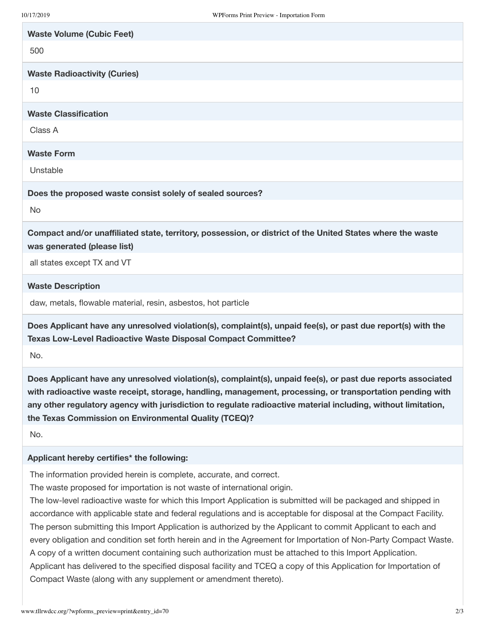| <b>Waste Volume (Cubic Feet)</b>                                                                                                                                              |
|-------------------------------------------------------------------------------------------------------------------------------------------------------------------------------|
| 500                                                                                                                                                                           |
| <b>Waste Radioactivity (Curies)</b>                                                                                                                                           |
| 10                                                                                                                                                                            |
| <b>Waste Classification</b>                                                                                                                                                   |
| Class A                                                                                                                                                                       |
| <b>Waste Form</b>                                                                                                                                                             |
| Unstable                                                                                                                                                                      |
| Does the proposed waste consist solely of sealed sources?                                                                                                                     |
| <b>No</b>                                                                                                                                                                     |
| Compact and/or unaffiliated state, territory, possession, or district of the United States where the waste<br>was generated (please list)                                     |
| all states except TX and VT                                                                                                                                                   |
| <b>Waste Description</b>                                                                                                                                                      |
| daw, metals, flowable material, resin, asbestos, hot particle                                                                                                                 |
| Does Applicant have any unresolved violation(s), complaint(s), unpaid fee(s), or past due report(s) with the<br>Texas Low-Level Radioactive Waste Disposal Compact Committee? |

**with radioactive waste receipt, storage, handling, management, processing, or transportation pending with any other regulatory agency with jurisdiction to regulate radioactive material including, without limitation,**

**the Texas Commission on Environmental Quality (TCEQ)?**

No.

No.

## **Applicant hereby certifies\* the following:**

The information provided herein is complete, accurate, and correct.

The waste proposed for importation is not waste of international origin.

The low-level radioactive waste for which this Import Application is submitted will be packaged and shipped in accordance with applicable state and federal regulations and is acceptable for disposal at the Compact Facility. The person submitting this Import Application is authorized by the Applicant to commit Applicant to each and every obligation and condition set forth herein and in the Agreement for Importation of Non-Party Compact Waste. A copy of a written document containing such authorization must be attached to this Import Application. Applicant has delivered to the specified disposal facility and TCEQ a copy of this Application for Importation of Compact Waste (along with any supplement or amendment thereto).

**Does Applicant have any unresolved violation(s), complaint(s), unpaid fee(s), or past due reports associated**